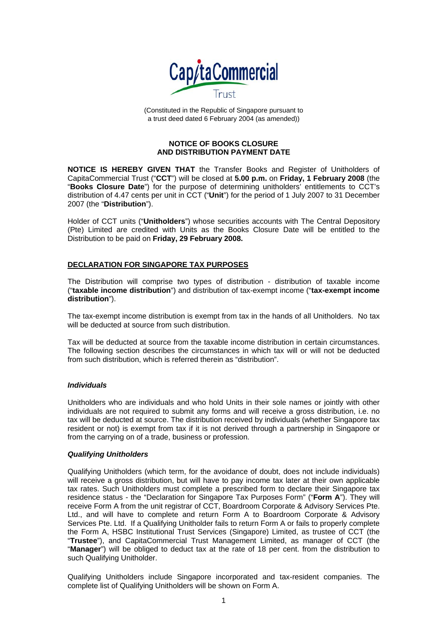

(Constituted in the Republic of Singapore pursuant to a trust deed dated 6 February 2004 (as amended))

## **NOTICE OF BOOKS CLOSURE AND DISTRIBUTION PAYMENT DATE**

**NOTICE IS HEREBY GIVEN THAT** the Transfer Books and Register of Unitholders of CapitaCommercial Trust ("**CCT**") will be closed at **5.00 p.m.** on **Friday, 1 February 2008** (the "**Books Closure Date**") for the purpose of determining unitholders' entitlements to CCT's distribution of 4.47 cents per unit in CCT ("**Unit**") for the period of 1 July 2007 to 31 December 2007 (the "**Distribution**").

Holder of CCT units ("**Unitholders**") whose securities accounts with The Central Depository (Pte) Limited are credited with Units as the Books Closure Date will be entitled to the Distribution to be paid on **Friday, 29 February 2008.**

# **DECLARATION FOR SINGAPORE TAX PURPOSES**

The Distribution will comprise two types of distribution - distribution of taxable income ("**taxable income distribution**") and distribution of tax-exempt income ("**tax-exempt income distribution**").

The tax-exempt income distribution is exempt from tax in the hands of all Unitholders. No tax will be deducted at source from such distribution.

Tax will be deducted at source from the taxable income distribution in certain circumstances. The following section describes the circumstances in which tax will or will not be deducted from such distribution, which is referred therein as "distribution".

# *Individuals*

Unitholders who are individuals and who hold Units in their sole names or jointly with other individuals are not required to submit any forms and will receive a gross distribution, i.e. no tax will be deducted at source. The distribution received by individuals (whether Singapore tax resident or not) is exempt from tax if it is not derived through a partnership in Singapore or from the carrying on of a trade, business or profession.

# *Qualifying Unitholders*

Qualifying Unitholders (which term, for the avoidance of doubt, does not include individuals) will receive a gross distribution, but will have to pay income tax later at their own applicable tax rates. Such Unitholders must complete a prescribed form to declare their Singapore tax residence status - the "Declaration for Singapore Tax Purposes Form" ("**Form A**"). They will receive Form A from the unit registrar of CCT, Boardroom Corporate & Advisory Services Pte. Ltd., and will have to complete and return Form A to Boardroom Corporate & Advisory Services Pte. Ltd. If a Qualifying Unitholder fails to return Form A or fails to properly complete the Form A, HSBC Institutional Trust Services (Singapore) Limited, as trustee of CCT (the "**Trustee**"), and CapitaCommercial Trust Management Limited, as manager of CCT (the "**Manager**") will be obliged to deduct tax at the rate of 18 per cent. from the distribution to such Qualifying Unitholder.

Qualifying Unitholders include Singapore incorporated and tax-resident companies. The complete list of Qualifying Unitholders will be shown on Form A.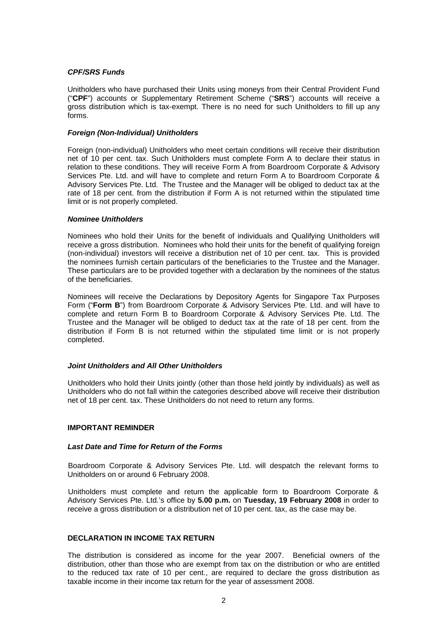## *CPF/SRS Funds*

Unitholders who have purchased their Units using moneys from their Central Provident Fund ("**CPF**") accounts or Supplementary Retirement Scheme ("**SRS**") accounts will receive a gross distribution which is tax-exempt. There is no need for such Unitholders to fill up any forms.

## *Foreign (Non-Individual) Unitholders*

Foreign (non-individual) Unitholders who meet certain conditions will receive their distribution net of 10 per cent. tax. Such Unitholders must complete Form A to declare their status in relation to these conditions. They will receive Form A from Boardroom Corporate & Advisory Services Pte. Ltd. and will have to complete and return Form A to Boardroom Corporate & Advisory Services Pte. Ltd. The Trustee and the Manager will be obliged to deduct tax at the rate of 18 per cent. from the distribution if Form A is not returned within the stipulated time limit or is not properly completed.

#### *Nominee Unitholders*

Nominees who hold their Units for the benefit of individuals and Qualifying Unitholders will receive a gross distribution. Nominees who hold their units for the benefit of qualifying foreign (non-individual) investors will receive a distribution net of 10 per cent. tax. This is provided the nominees furnish certain particulars of the beneficiaries to the Trustee and the Manager. These particulars are to be provided together with a declaration by the nominees of the status of the beneficiaries.

Nominees will receive the Declarations by Depository Agents for Singapore Tax Purposes Form ("**Form B**") from Boardroom Corporate & Advisory Services Pte. Ltd. and will have to complete and return Form B to Boardroom Corporate & Advisory Services Pte. Ltd. The Trustee and the Manager will be obliged to deduct tax at the rate of 18 per cent. from the distribution if Form B is not returned within the stipulated time limit or is not properly completed.

# *Joint Unitholders and All Other Unitholders*

Unitholders who hold their Units jointly (other than those held jointly by individuals) as well as Unitholders who do not fall within the categories described above will receive their distribution net of 18 per cent. tax. These Unitholders do not need to return any forms.

#### **IMPORTANT REMINDER**

### *Last Date and Time for Return of the Forms*

Boardroom Corporate & Advisory Services Pte. Ltd. will despatch the relevant forms to Unitholders on or around 6 February 2008.

Unitholders must complete and return the applicable form to Boardroom Corporate & Advisory Services Pte. Ltd.'s office by **5.00 p.m.** on **Tuesday, 19 February 2008** in order to receive a gross distribution or a distribution net of 10 per cent. tax, as the case may be.

#### **DECLARATION IN INCOME TAX RETURN**

The distribution is considered as income for the year 2007. Beneficial owners of the distribution, other than those who are exempt from tax on the distribution or who are entitled to the reduced tax rate of 10 per cent., are required to declare the gross distribution as taxable income in their income tax return for the year of assessment 2008.